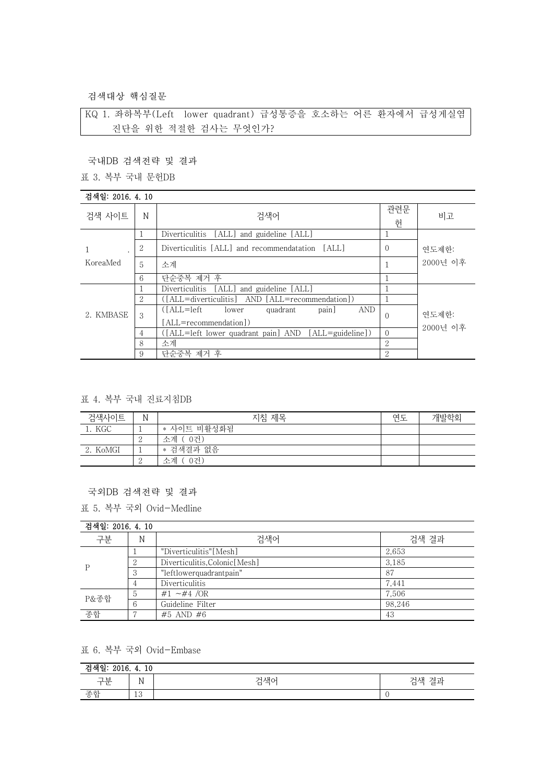검색대상 핵심질문

KQ 1. 좌하복부(Left lower quadrant) 급성통증을 호소하는 어른 환자에서 급성게실염 진단을 위한 적절한 검사는 무엇인가?

국내DB 검색전략 및 결과

표 3. 복부 국내 문헌DB

## 검색일: 2016. 4. 10

| 4 색 월 · 2010 · 4 · 10 |   |                                                                                  |                             |                   |
|-----------------------|---|----------------------------------------------------------------------------------|-----------------------------|-------------------|
| 검색 사이트                | N | 검색어                                                                              | 관련문<br>헌                    | 비고                |
|                       |   | Diverticulitis [ALL] and guideline [ALL]                                         |                             |                   |
|                       | 2 | Diverticulitis [ALL] and recommendatation [ALL]                                  | $\Omega$                    | 연도제한:             |
| KoreaMed              | 5 | 소계                                                                               |                             | 2000년 이후          |
|                       | 6 | 단순중복 제거 후                                                                        |                             |                   |
|                       |   | Diverticulitis [ALL] and guideline [ALL]                                         |                             |                   |
| 2. KMBASE             | 2 | ([ALL=diverticulitis] AND [ALL=recommendation])                                  |                             | 연도제한:<br>2000년 이후 |
|                       | 3 | $(IALL=left$<br><b>AND</b><br>quadrant<br>pain<br>lower<br>[ALL=recommendation]) | $\Omega$                    |                   |
|                       | 4 | ([ALL=left lower quadrant pain] AND [ALL=guideline])                             | $\Omega$                    |                   |
|                       | 8 | 소계                                                                               | 2                           |                   |
|                       | 9 | 단순중복 제거 후                                                                        | $\mathcal{D}_{\mathcal{L}}$ |                   |

### 표 4. 복부 국내 진료지침DB

| 검색사이트    | N | 지침 제목        | 연도 | 개발학회 |
|----------|---|--------------|----|------|
| KGC      |   | * 사이트 비활성화됨  |    |      |
|          |   | -0건)<br>소계 ( |    |      |
| 2. KoMGI |   | * 검색결과 없음    |    |      |
|          |   | 0건)<br>소계    |    |      |

### 국외DB 검색전략 및 결과

표 5. 복부 국외 Ovid-Medline

| 검색일: 2016, 4, 10 |               |                                |        |
|------------------|---------------|--------------------------------|--------|
| 구분               | N             | 검색어                            | 검색 결과  |
|                  |               | "Diverticulitis"[Mesh]         | 2,653  |
|                  |               | Diverticulitis, Colonic [Mesh] | 3.185  |
|                  | $\cdot$       | "leftlowerquadrantpain"        | 87     |
|                  | 4             | Diverticulitis                 | 7,441  |
| P&종합             | $\mathcal{D}$ | #1 $\sim$ #4 /OR               | 7,506  |
|                  | 6             | Guideline Filter               | 98.246 |
| 종합               |               | #5 AND #6                      | 43     |

# 표 6. 복부 국외 Ovid-Embase

| -- 110<br>.<br>10<br>,,,,<br>2010.<br>ㄹ<br> |                           |                            |                    |
|---------------------------------------------|---------------------------|----------------------------|--------------------|
| 그브<br>$\mathbf{H}$<br>╺                     | $\mathbf{r}$<br>A)<br>. . | 금색어<br>$\overline{ }$<br>ᆸ | -<br>급설<br>ᆮ.<br>◡ |
| 조히                                          | $\Omega$<br>TΩ            |                            |                    |